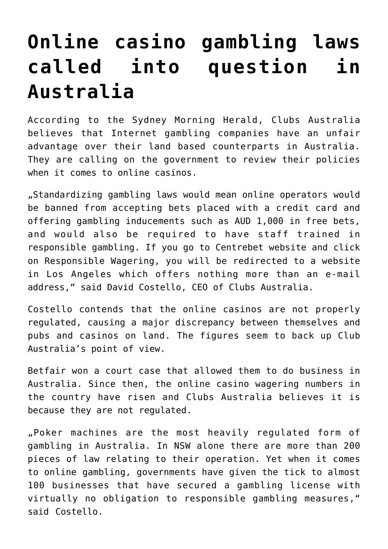## **[Online casino gambling laws](https://www.isa-guide.de/english-news/articles/24239.html) [called into question in](https://www.isa-guide.de/english-news/articles/24239.html) [Australia](https://www.isa-guide.de/english-news/articles/24239.html)**

According to the Sydney Morning Herald, Clubs Australia believes that Internet gambling companies have an unfair advantage over their land based counterparts in Australia. They are calling on the government to review their policies when it comes to online casinos.

"Standardizing gambling laws would mean online operators would be banned from accepting bets placed with a credit card and offering gambling inducements such as AUD 1,000 in free bets, and would also be required to have staff trained in responsible gambling. If you go to Centrebet website and click on Responsible Wagering, you will be redirected to a website in Los Angeles which offers nothing more than an e-mail address," said David Costello, CEO of Clubs Australia.

Costello contends that the online casinos are not properly regulated, causing a major discrepancy between themselves and pubs and casinos on land. The figures seem to back up Club Australia's point of view.

Betfair won a court case that allowed them to do business in Australia. Since then, the online casino wagering numbers in the country have risen and Clubs Australia believes it is because they are not regulated.

"Poker machines are the most heavily regulated form of gambling in Australia. In NSW alone there are more than 200 pieces of law relating to their operation. Yet when it comes to online gambling, governments have given the tick to almost 100 businesses that have secured a gambling license with virtually no obligation to responsible gambling measures," said Costello.